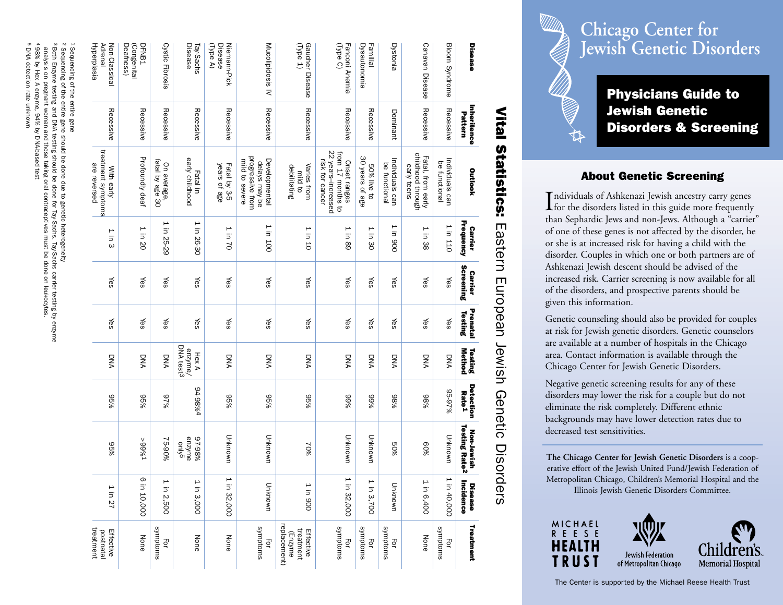|                                          | Vital                  | <b>Statistics:</b>                                                                                                                                                                     | Eastern                            |                             |                     |                               | European Jewish Genetic        | <b>Disord</b>                                        | ers                    |                                                   |
|------------------------------------------|------------------------|----------------------------------------------------------------------------------------------------------------------------------------------------------------------------------------|------------------------------------|-----------------------------|---------------------|-------------------------------|--------------------------------|------------------------------------------------------|------------------------|---------------------------------------------------|
| Disease                                  | Inheritence<br>Pattern | <b>Outlook</b>                                                                                                                                                                         | <b>Frequency</b><br><b>Carrier</b> | Screening<br><b>Carrier</b> | Prenatal<br>Testing | <b>Method</b><br>Testing      | Detection<br>Rate <sup>1</sup> | <b>Testing Rate<sup>2</sup></b><br><b>Non-Jewish</b> | Incidence<br>Disease   | Treatment                                         |
| Bloom Syndrome                           | Recessive              | Individuals can<br>be functional                                                                                                                                                       | 1 in 110                           | Yes                         | ∕es                 | DNA                           | 95-97%                         | Unknown                                              | ⊢<br>in 40,000         | swoptoms<br>Ęōr                                   |
| Canavan Disease                          | Recessive              | childhood through<br>Fatal, from early<br>early teens                                                                                                                                  | ⊢<br>in 38                         | Yes                         | ∕es                 | <b>DNA</b>                    | 9886                           | %09                                                  | $\mapsto$<br>in 6,400  | None                                              |
| Dystonia                                 | Dominant               | Individuals can<br>be functional                                                                                                                                                       | $\mapsto$<br>in 900                | Yes                         | ∕es                 | DNA                           | %86                            | 80%                                                  | Unknown                | swondoms<br>Ęor                                   |
| <b>Dysautonomia</b><br>Familial          | Recessive              | 30 years of age<br>50% live to                                                                                                                                                         | $\mapsto$<br>Ξ.<br>80              | Yes                         | ∕es                 | <b>DNA</b>                    | %66                            | Unknown                                              | $\mapsto$<br>in 3,700  | smptoms<br>Ęōr                                    |
| Fanconi Anemia<br>(Type C)               | Recessive              | 22 years-increased<br>Onset ranges<br>from 17 months to<br>risk for cancer                                                                                                             | $\mapsto$<br>in 89                 | Yes                         | ∕es                 | DNA                           | 966                            | Unknown                                              | $\mapsto$<br>in 32,000 | suuptoms<br>Ę                                     |
| Gaucher Disease<br>(Type 1)              | Recessive              | Varies from<br>debilitating<br>mild to                                                                                                                                                 | ⊢<br>in 10                         | Yes                         | ∕es                 | DNA                           | 995%                           | 70%                                                  | in 900                 | replacement)<br>treatment<br>Effective<br>(Enzyme |
| Mucolipidosis IV                         | Recessive              | progressive from<br>Developmental<br>mild to severe<br>delays may be                                                                                                                   | ⊢<br>in 100                        | ∕es                         | ∕es                 | DNA                           | 995%                           | Unknown                                              | Unknown                | swoptoms<br>马                                     |
| Niemann-Pick<br>(Type A)<br>Disease      | Recessive              | years of age<br>Fatal by 3-5                                                                                                                                                           | ⊢<br>in 70                         | ∕es                         | ∕es                 | DNA                           | 965%                           | Unknown                                              | ⊢<br>in 32,000         | None                                              |
| Disease<br>Tay-Sachs                     | Recessive              | early childhood<br>Fatal in                                                                                                                                                            | ⊢<br>in 26-30                      | Yes                         | ∕es                 | DNA test3<br>enzyme/<br>Hex A | <b>b%86-b6</b>                 | 97-98%<br>enzyme<br>envzne                           | $\mapsto$<br>in 3,000  | None                                              |
| Cystic Fibrosis                          | Recessive              | On average,<br>fatal by age 30                                                                                                                                                         | $\mapsto$<br>in 25-29              | Yes                         | ∕es                 | <b>DNA</b>                    | 967%                           | 75-90%                                               | $\mapsto$<br>in 2,500  | suuptoms<br>Ęōr                                   |
| Deafness)<br>(Congenital<br><b>DFNB1</b> | Recessive              | Profoundly deaf                                                                                                                                                                        | $\mapsto$<br>in 20                 | ∕es                         | ∕es                 | <b>DNA</b>                    | 995%                           | $1\%66<$                                             | σ<br>in 10,000         | None                                              |
| Hyperplasia<br>Non-Classical<br>Adrena   | Recessive              | treatment symptoms<br>are reversed<br>With early                                                                                                                                       | $\mapsto$<br>in 3                  | Yes                         | yes                 | DNA                           | 965%                           | 965%                                                 | 1 in 27                | treatment<br>postnatal<br>Effective               |
| 1 Sequencing of the entire gene          |                        | ∂ Both Enzyme testing and DNA testing should be done for Tay-Sachs. Tay-Sachs carrier testing by enzyme<br>2 Sequencing of the entire gene should be done due to genetic heterogeneity |                                    |                             |                     |                               |                                |                                                      |                        |                                                   |

# **Chicago Center for Jewish Genetic Disorders**

Physicians Guide to Jewish Genetic Disorders & Screening

### About Genetic Screening

Individuals of Ashkenazi Jewish ancestry carry genes<br>for the disorders listed in this guide more frequently than Sephardic Jews and non-Jews. Although a "carrier" of one of these genes is not affected by the disorder, he or she is at increased risk for having a child with the disorder. Couples in which one or both partners are of Ashkenazi Jewish descent should be advised of the increased risk. Carrier screening is now available for all of the disorders, and prospective parents should be <sup>g</sup>iven this information.

Genetic counseling should also be provided for couples at risk for Jewish genetic disorders. Genetic counselors are available at a number of hospitals in the Chicago area. Contact information is available through the Chicago Center for Jewish Genetic Disorders.

Negative genetic screening results for any of these disorders may lower the risk for a couple but do not eliminate the risk completely. Different ethnic backgrounds may have lower detection rates due to decreased test sensitivities.

**The Chicago Center for Jewish Genetic Disorders** is a cooperative effort of the Jewish United Fund/Jewish Federation of Metropolitan Chicago, Children's Memorial Hospital and the Illinois Jewish Genetic Disorders Committee.



**ن** 4 ت DNA detection rate unknown

analysis on pregnant woman and those taking oral contraceptives must be done on leukocytes. 4 98% by Hex A enzyme, 94% by DNA-based test